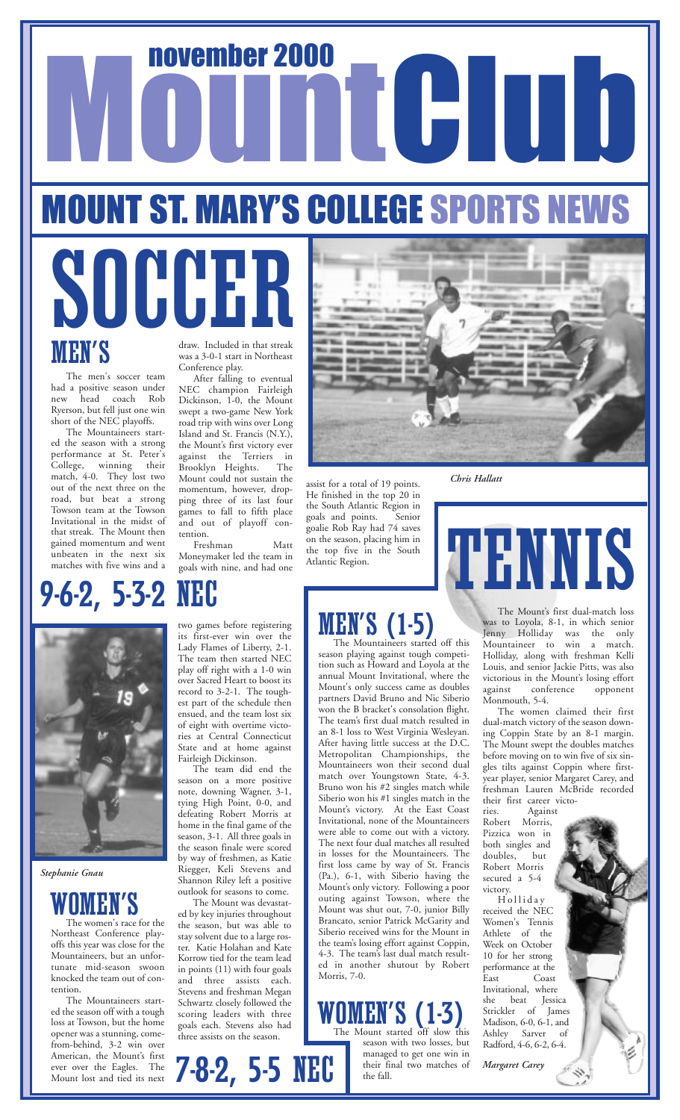

### MEN'S

The men's soccer team had a positive season under new head coach Rob Ryerson, but fell just one win short of the NEC playoffs.

The Mountaineers started the season with a strong performance at St. Peter's College, winning their match, 4-0. They lost two out of the next three on the road, but beat a strong Towson team at the Towson Invitational in the midst of that streak. The Mount then gained momentum and went unbeaten in the next six matches with five wins and a

draw. Included in that streak was a 3-0-1 start in Northeast Conference play.

After falling to eventual NEC champion Fairleigh Dickinson, 1-0, the Mount swept a two-game New York road trip with wins over Long Island and St. Francis (N.Y.), the Mount's first victory ever against the Terriers in Brooklyn Heights. The Mount could not sustain the momentum, however, dropping three of its last four games to fall to fifth place and out of playoff contention.

Freshman Matt Moneymaker led the team in goals with nine, and had one



*Chris Hallatt*



The team did end the season on a more positive note, downing Wagner, 3-1, tying High Point, 0-0, and defeating Robert Morris at home in the final game of the season, 3-1. All three goals in the season finale were scored by way of freshmen, as Katie Riegger, Keli Stevens and Shannon Riley left a positive outlook for seasons to come.

The Mount was devastated by key injuries throughout the season, but was able to stay solvent due to a large roster. Katie Holahan and Kate Korrow tied for the team lead in points (11) with four goals and three assists each. Stevens and freshman Megan Schwartz closely followed the scoring leaders with three goals each. Stevens also had three assists on the season.

# MEN'S (1-5)<br>The Mountaineers started off this

assist for a total of 19 points. He finished in the top 20 in the South Atlantic Region in goals and points. Senior goalie Rob Ray had 74 saves on the season, placing him in the top five in the South

Atlantic Region.

season playing against tough competition such as Howard and Loyola at the annual Mount Invitational, where the Mount's only success came as doubles partners David Bruno and Nic Siberio won the B bracket's consolation flight. The team's first dual match resulted in an 8-1 loss to West Virginia Wesleyan. After having little success at the D.C. Metropolitan Championships, the Mountaineers won their second dual match over Youngstown State, 4-3. Bruno won his #2 singles match while Siberio won his #1 singles match in the Mount's victory. At the East Coast Invitational, none of the Mountaineers were able to come out with a victory. The next four dual matches all resulted in losses for the Mountaineers. The first loss came by way of St. Francis (Pa.), 6-1, with Siberio having the Mount's only victory. Following a poor outing against Towson, where the Mount was shut out, 7-0, junior Billy Brancato, senior Patrick McGarity and Siberio received wins for the Mount in the team's losing effort against Coppin, 4-3. The team's last dual match resulted in another shutout by Robert Morris, 7-0.

# $W0MEN'S (1-3)$  The Mount started off slow this

season with two losses, but managed to get one win in their final two matches of the fall. **7-8-2, 5-5 NEC design to get one win in**<br>the fall.

# Final at the two-solutional in the midst of and out of playoff con-<br>
Invitational in the midst of and out of playoff con-<br>
that streak. The Mount then tention.<br>
gained momentum and went<br>
unbeaten in the next six Moneymaker

The Mount's first dual-match loss as to Loyola, 8-1, in which senior Jenny Holliday was the only Mountaineer to win a match. Holliday, along with freshman Kelli Louis, and senior Jackie Pitts, was also victorious in the Mount's losing effort<br>against conference opponent conference opponent Monmouth, 5-4.

The women claimed their first dual-match victory of the season downing Coppin State by an 8-1 margin. The Mount swept the doubles matches before moving on to win five of six singles tilts against Coppin where firstyear player, senior Margaret Carey, and freshman Lauren McBride recorded their first career victo-<br>ries. Against

Against Robert Morris, Pizzica won in both singles and doubles, but Robert Morris secured a 5-4 victory.

Holliday received the NEC Women's Tennis Athlete of the Week on October 10 for her strong performance at the<br>East Coast **Coast** Invitational, where she beat Jessica Strickler of James Madison, 6-0, 6-1, and Ashley Sarver Radford, 4-6, 6-2, 6-4.

11



*Stephanie Gnau*

#### WOMEN'S

The women's race for the Northeast Conference playoffs this year was close for the Mountaineers, but an unfortunate mid-season swoon knocked the team out of contention.

The Mountaineers started the season off with a tough loss at Towson, but the home opener was a stunning, comefrom-behind, 3-2 win over American, the Mount's first ever over the Eagles. The Mount lost and tied its next